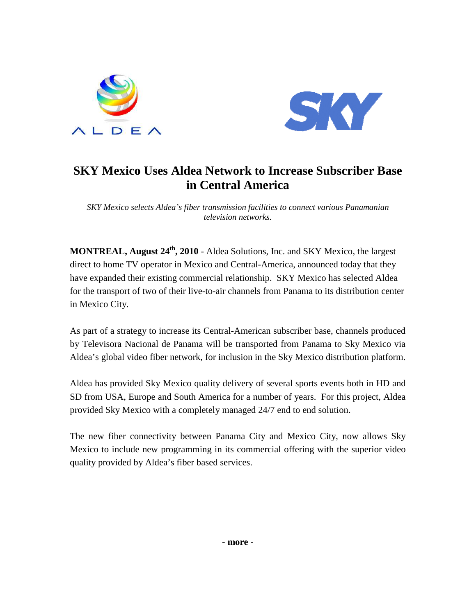



# **SKY Mexico Uses Aldea Network to Increase Subscriber Base in Central America**

*SKY Mexico selects Aldea's fiber transmission facilities to connect various Panamanian television networks.* 

**MONTREAL, August 24th, 2010** - Aldea Solutions, Inc. and SKY Mexico, the largest direct to home TV operator in Mexico and Central-America, announced today that they have expanded their existing commercial relationship. SKY Mexico has selected Aldea for the transport of two of their live-to-air channels from Panama to its distribution center in Mexico City.

As part of a strategy to increase its Central-American subscriber base, channels produced by Televisora Nacional de Panama will be transported from Panama to Sky Mexico via Aldea's global video fiber network, for inclusion in the Sky Mexico distribution platform.

Aldea has provided Sky Mexico quality delivery of several sports events both in HD and SD from USA, Europe and South America for a number of years. For this project, Aldea provided Sky Mexico with a completely managed 24/7 end to end solution.

The new fiber connectivity between Panama City and Mexico City, now allows Sky Mexico to include new programming in its commercial offering with the superior video quality provided by Aldea's fiber based services.